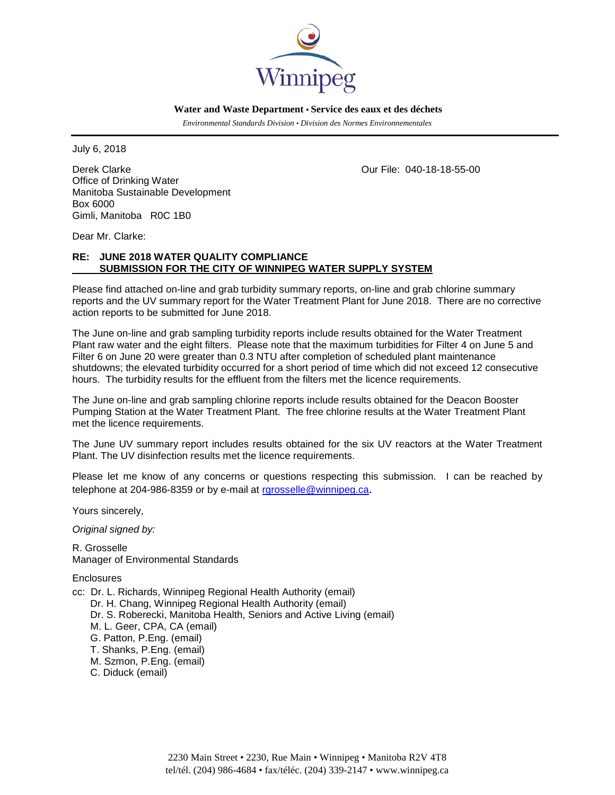

 **Water and Waste Department • Service des eaux et des déchets**

 *Environmental Standards Division • Division des Normes Environnementales*

July 6, 2018

Derek Clarke Our File: 040-18-18-55-00 Office of Drinking Water Manitoba Sustainable Development Box 6000 Gimli, Manitoba R0C 1B0

Dear Mr. Clarke:

## **RE: JUNE 2018 WATER QUALITY COMPLIANCE SUBMISSION FOR THE CITY OF WINNIPEG WATER SUPPLY SYSTEM**

Please find attached on-line and grab turbidity summary reports, on-line and grab chlorine summary reports and the UV summary report for the Water Treatment Plant for June 2018. There are no corrective action reports to be submitted for June 2018.

The June on-line and grab sampling turbidity reports include results obtained for the Water Treatment Plant raw water and the eight filters. Please note that the maximum turbidities for Filter 4 on June 5 and Filter 6 on June 20 were greater than 0.3 NTU after completion of scheduled plant maintenance shutdowns; the elevated turbidity occurred for a short period of time which did not exceed 12 consecutive hours. The turbidity results for the effluent from the filters met the licence requirements.

The June on-line and grab sampling chlorine reports include results obtained for the Deacon Booster Pumping Station at the Water Treatment Plant. The free chlorine results at the Water Treatment Plant met the licence requirements.

The June UV summary report includes results obtained for the six UV reactors at the Water Treatment Plant. The UV disinfection results met the licence requirements.

Please let me know of any concerns or questions respecting this submission. I can be reached by telephone at 204-986-8359 or by e-mail at [rgrosselle@winnipeg.ca](mailto:rgrosselle@winnipeg.ca).

Yours sincerely,

*Original signed by:*

R. Grosselle Manager of Environmental Standards

Enclosures

cc: Dr. L. Richards, Winnipeg Regional Health Authority (email) Dr. H. Chang, Winnipeg Regional Health Authority (email) Dr. S. Roberecki, Manitoba Health, Seniors and Active Living (email) M. L. Geer, CPA, CA (email) G. Patton, P.Eng. (email) T. Shanks, P.Eng. (email) M. Szmon, P.Eng. (email) C. Diduck (email)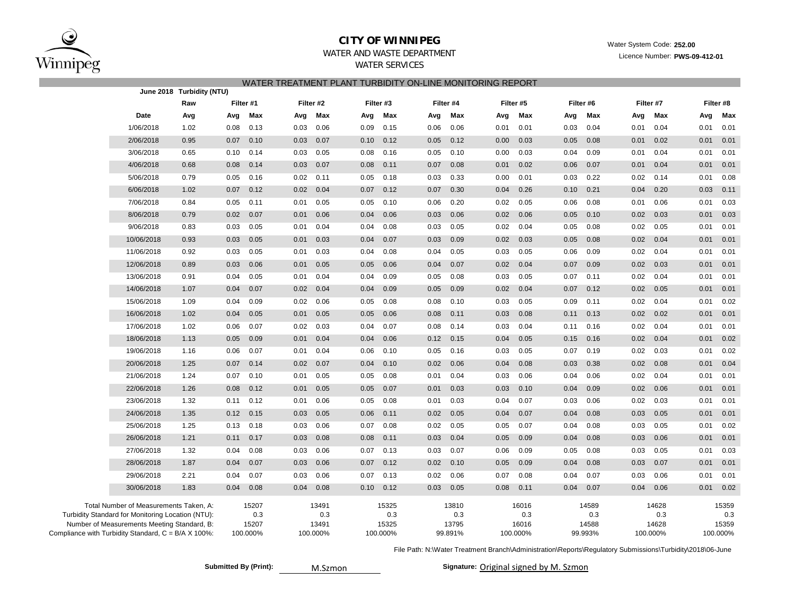

# **CITY OF WINNIPEG** WATER WATER WATER WATER System Code: 252.00

# WATER AND WASTE DEPARTMENT **Licence Number: PWS-09-412-01**

WATER SERVICES WATER TREATMENT PLANT TURBIDITY ON-LINE MONITORING REPORT

| $\overline{a}$<br>June 2018 Turbidity (NTU)                  |                                                                                                                                            |      |      |                                   |      |                                   |      |                                   |      |                                  |           |                                   |      |                                  |      |                                   |      |                                   |
|--------------------------------------------------------------|--------------------------------------------------------------------------------------------------------------------------------------------|------|------|-----------------------------------|------|-----------------------------------|------|-----------------------------------|------|----------------------------------|-----------|-----------------------------------|------|----------------------------------|------|-----------------------------------|------|-----------------------------------|
|                                                              |                                                                                                                                            | Raw  |      | Filter #1                         |      | Filter #2                         |      | Filter #3                         |      | Filter #4                        | Filter #5 |                                   |      | Filter #6                        |      | Filter #7                         |      | Filter #8                         |
|                                                              | Date                                                                                                                                       | Avg  | Avg  | Max                               | Avg  | Max                               | Avg  | Max                               | Avg  | Max                              | Avg       | Max                               | Avg  | Max                              | Avg  | Max                               | Avg  | Max                               |
|                                                              | 1/06/2018                                                                                                                                  | 1.02 | 0.08 | 0.13                              | 0.03 | 0.06                              | 0.09 | 0.15                              | 0.06 | 0.06                             | 0.01      | 0.01                              | 0.03 | 0.04                             | 0.01 | 0.04                              | 0.01 | 0.01                              |
|                                                              | 2/06/2018                                                                                                                                  | 0.95 | 0.07 | 0.10                              | 0.03 | 0.07                              | 0.10 | 0.12                              | 0.05 | 0.12                             | 0.00      | 0.03                              | 0.05 | 0.08                             | 0.01 | 0.02                              | 0.01 | 0.01                              |
|                                                              | 3/06/2018                                                                                                                                  | 0.65 | 0.10 | 0.14                              | 0.03 | 0.05                              | 0.08 | 0.16                              | 0.05 | 0.10                             | 0.00      | 0.03                              | 0.04 | 0.09                             | 0.01 | 0.04                              | 0.01 | 0.01                              |
|                                                              | 4/06/2018                                                                                                                                  | 0.68 | 0.08 | 0.14                              | 0.03 | 0.07                              | 0.08 | 0.11                              | 0.07 | 0.08                             | 0.01      | 0.02                              | 0.06 | 0.07                             | 0.01 | 0.04                              | 0.01 | 0.01                              |
|                                                              | 5/06/2018                                                                                                                                  | 0.79 | 0.05 | 0.16                              | 0.02 | 0.11                              | 0.05 | 0.18                              | 0.03 | 0.33                             | 0.00      | 0.01                              | 0.03 | 0.22                             | 0.02 | 0.14                              | 0.01 | 0.08                              |
|                                                              | 6/06/2018                                                                                                                                  | 1.02 | 0.07 | 0.12                              | 0.02 | 0.04                              | 0.07 | 0.12                              | 0.07 | 0.30                             | 0.04      | 0.26                              | 0.10 | 0.21                             | 0.04 | 0.20                              | 0.03 | 0.11                              |
|                                                              | 7/06/2018                                                                                                                                  | 0.84 | 0.05 | 0.11                              | 0.01 | 0.05                              | 0.05 | 0.10                              | 0.06 | 0.20                             | 0.02      | 0.05                              | 0.06 | 0.08                             | 0.01 | 0.06                              | 0.01 | 0.03                              |
|                                                              | 8/06/2018                                                                                                                                  | 0.79 | 0.02 | 0.07                              | 0.01 | 0.06                              | 0.04 | 0.06                              | 0.03 | 0.06                             | 0.02      | 0.06                              | 0.05 | 0.10                             | 0.02 | 0.03                              | 0.01 | 0.03                              |
|                                                              | 9/06/2018                                                                                                                                  | 0.83 | 0.03 | 0.05                              | 0.01 | 0.04                              | 0.04 | 0.08                              | 0.03 | 0.05                             | 0.02      | 0.04                              | 0.05 | 0.08                             | 0.02 | 0.05                              | 0.01 | 0.01                              |
|                                                              | 10/06/2018                                                                                                                                 | 0.93 | 0.03 | 0.05                              | 0.01 | 0.03                              | 0.04 | 0.07                              | 0.03 | 0.09                             | 0.02      | 0.03                              | 0.05 | 0.08                             | 0.02 | 0.04                              | 0.01 | 0.01                              |
|                                                              | 11/06/2018                                                                                                                                 | 0.92 | 0.03 | 0.05                              | 0.01 | 0.03                              | 0.04 | 0.08                              | 0.04 | 0.05                             | 0.03      | 0.05                              | 0.06 | 0.09                             | 0.02 | 0.04                              | 0.01 | 0.01                              |
|                                                              | 12/06/2018                                                                                                                                 | 0.89 | 0.03 | 0.06                              | 0.01 | 0.05                              | 0.05 | 0.06                              | 0.04 | 0.07                             | 0.02      | 0.04                              | 0.07 | 0.09                             | 0.02 | 0.03                              | 0.01 | 0.01                              |
|                                                              | 13/06/2018                                                                                                                                 | 0.91 | 0.04 | 0.05                              | 0.01 | 0.04                              | 0.04 | 0.09                              | 0.05 | 0.08                             | 0.03      | 0.05                              | 0.07 | 0.11                             | 0.02 | 0.04                              | 0.01 | 0.01                              |
|                                                              | 14/06/2018                                                                                                                                 | 1.07 | 0.04 | 0.07                              | 0.02 | 0.04                              | 0.04 | 0.09                              | 0.05 | 0.09                             | 0.02      | 0.04                              | 0.07 | 0.12                             | 0.02 | 0.05                              | 0.01 | 0.01                              |
|                                                              | 15/06/2018                                                                                                                                 | 1.09 | 0.04 | 0.09                              | 0.02 | 0.06                              | 0.05 | 0.08                              | 0.08 | 0.10                             | 0.03      | 0.05                              | 0.09 | 0.11                             | 0.02 | 0.04                              | 0.01 | 0.02                              |
|                                                              | 16/06/2018                                                                                                                                 | 1.02 | 0.04 | 0.05                              | 0.01 | 0.05                              | 0.05 | 0.06                              | 0.08 | 0.11                             | 0.03      | 0.08                              | 0.11 | 0.13                             | 0.02 | 0.02                              | 0.01 | 0.01                              |
|                                                              | 17/06/2018                                                                                                                                 | 1.02 | 0.06 | 0.07                              | 0.02 | 0.03                              | 0.04 | 0.07                              | 0.08 | 0.14                             | 0.03      | 0.04                              | 0.11 | 0.16                             | 0.02 | 0.04                              | 0.01 | 0.01                              |
|                                                              | 18/06/2018                                                                                                                                 | 1.13 | 0.05 | 0.09                              | 0.01 | 0.04                              | 0.04 | 0.06                              | 0.12 | 0.15                             | 0.04      | 0.05                              | 0.15 | 0.16                             | 0.02 | 0.04                              | 0.01 | 0.02                              |
|                                                              | 19/06/2018                                                                                                                                 | 1.16 | 0.06 | 0.07                              | 0.01 | 0.04                              | 0.06 | 0.10                              | 0.05 | 0.16                             | 0.03      | 0.05                              | 0.07 | 0.19                             | 0.02 | 0.03                              | 0.01 | 0.02                              |
|                                                              | 20/06/2018                                                                                                                                 | 1.25 | 0.07 | 0.14                              | 0.02 | 0.07                              | 0.04 | 0.10                              | 0.02 | 0.06                             | 0.04      | 0.08                              | 0.03 | 0.38                             | 0.02 | 0.08                              | 0.01 | 0.04                              |
|                                                              | 21/06/2018                                                                                                                                 | 1.24 | 0.07 | 0.10                              | 0.01 | 0.05                              | 0.05 | 0.08                              | 0.01 | 0.04                             | 0.03      | 0.06                              | 0.04 | 0.06                             | 0.02 | 0.04                              | 0.01 | 0.01                              |
|                                                              | 22/06/2018                                                                                                                                 | 1.26 | 0.08 | 0.12                              | 0.01 | 0.05                              | 0.05 | 0.07                              | 0.01 | 0.03                             | 0.03      | 0.10                              | 0.04 | 0.09                             | 0.02 | 0.06                              | 0.01 | 0.01                              |
|                                                              | 23/06/2018                                                                                                                                 | 1.32 | 0.11 | 0.12                              | 0.01 | 0.06                              | 0.05 | 0.08                              | 0.01 | 0.03                             | 0.04      | 0.07                              | 0.03 | 0.06                             | 0.02 | 0.03                              | 0.01 | 0.01                              |
|                                                              | 24/06/2018                                                                                                                                 | 1.35 | 0.12 | 0.15                              | 0.03 | 0.05                              | 0.06 | 0.11                              | 0.02 | 0.05                             | 0.04      | 0.07                              | 0.04 | 0.08                             | 0.03 | 0.05                              | 0.01 | 0.01                              |
|                                                              | 25/06/2018                                                                                                                                 | 1.25 | 0.13 | 0.18                              | 0.03 | 0.06                              | 0.07 | 0.08                              | 0.02 | 0.05                             | 0.05      | 0.07                              | 0.04 | 0.08                             | 0.03 | 0.05                              | 0.01 | 0.02                              |
|                                                              | 26/06/2018                                                                                                                                 | 1.21 | 0.11 | 0.17                              | 0.03 | 0.08                              | 0.08 | 0.11                              | 0.03 | 0.04                             | 0.05      | 0.09                              | 0.04 | 0.08                             | 0.03 | 0.06                              | 0.01 | 0.01                              |
|                                                              | 27/06/2018                                                                                                                                 | 1.32 | 0.04 | 0.08                              | 0.03 | 0.06                              | 0.07 | 0.13                              | 0.03 | 0.07                             | 0.06      | 0.09                              | 0.05 | 0.08                             | 0.03 | 0.05                              | 0.01 | 0.03                              |
|                                                              | 28/06/2018                                                                                                                                 | 1.87 | 0.04 | 0.07                              | 0.03 | 0.06                              | 0.07 | 0.12                              | 0.02 | 0.10                             | 0.05      | 0.09                              | 0.04 | 0.08                             | 0.03 | 0.07                              | 0.01 | 0.01                              |
|                                                              | 29/06/2018                                                                                                                                 | 2.21 | 0.04 | 0.07                              | 0.03 | 0.06                              | 0.07 | 0.13                              | 0.02 | 0.06                             | 0.07      | 0.08                              | 0.04 | 0.07                             | 0.03 | 0.06                              | 0.01 | 0.01                              |
|                                                              | 30/06/2018                                                                                                                                 | 1.83 | 0.04 | 0.08                              | 0.04 | 0.08                              | 0.10 | 0.12                              | 0.03 | 0.05                             | 0.08      | 0.11                              | 0.04 | 0.07                             | 0.04 | 0.06                              | 0.01 | 0.02                              |
| Compliance with Turbidity Standard, $C = B/A \times 100\%$ : | Total Number of Measurements Taken, A:<br>Turbidity Standard for Monitoring Location (NTU):<br>Number of Measurements Meeting Standard, B: |      |      | 15207<br>0.3<br>15207<br>100.000% |      | 13491<br>0.3<br>13491<br>100.000% |      | 15325<br>0.3<br>15325<br>100.000% |      | 13810<br>0.3<br>13795<br>99.891% |           | 16016<br>0.3<br>16016<br>100.000% |      | 14589<br>0.3<br>14588<br>99.993% |      | 14628<br>0.3<br>14628<br>100.000% |      | 15359<br>0.3<br>15359<br>100.000% |

File Path: N:\Water Treatment Branch\Administration\Reports\Regulatory Submissions\Turbidity\2018\06-June

**Submitted By (Print):** 

M.Szmon

Signature: Original signed by M. Szmon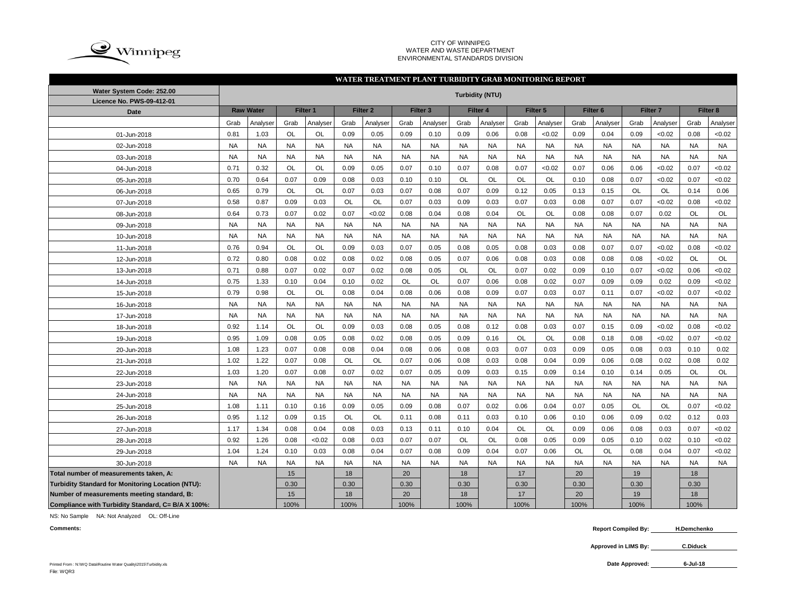

#### CITY OF WINNIPEG WATER AND WASTE DEPARTMENT ENVIRONMENTAL STANDARDS DIVISION

### **WATER TREATMENT PLANT TURBIDITY GRAB MONITORING REPORT**

| Water System Code: 252.00                          | <b>Turbidity (NTU)</b> |                  |           |           |           |                     |           |                     |           |           |           |                     |                     |           |           |                     |           |           |
|----------------------------------------------------|------------------------|------------------|-----------|-----------|-----------|---------------------|-----------|---------------------|-----------|-----------|-----------|---------------------|---------------------|-----------|-----------|---------------------|-----------|-----------|
| Licence No. PWS-09-412-01                          |                        |                  |           |           |           |                     |           |                     |           |           |           |                     |                     |           |           |                     |           |           |
| <b>Date</b>                                        |                        | <b>Raw Water</b> |           | Filter 1  |           | Filter <sub>2</sub> |           | Filter <sub>3</sub> |           | Filter 4  |           | Filter <sub>5</sub> | Filter <sub>6</sub> |           |           | Filter <sub>7</sub> |           | Filter 8  |
|                                                    | Grab                   | Analyser         | Grab      | Analyser  | Grab      | Analyser            | Grab      | Analyser            | Grab      | Analyser  | Grab      | Analyser            | Grab                | Analyser  | Grab      | Analyser            | Grab      | Analyser  |
| 01-Jun-2018                                        | 0.81                   | 1.03             | <b>OL</b> | OL        | 0.09      | 0.05                | 0.09      | 0.10                | 0.09      | 0.06      | 0.08      | < 0.02              | 0.09                | 0.04      | 0.09      | < 0.02              | 0.08      | <0.02     |
| 02-Jun-2018                                        | <b>NA</b>              | <b>NA</b>        | <b>NA</b> | <b>NA</b> | <b>NA</b> | <b>NA</b>           | <b>NA</b> | <b>NA</b>           | <b>NA</b> | <b>NA</b> | <b>NA</b> | <b>NA</b>           | <b>NA</b>           | <b>NA</b> | <b>NA</b> | <b>NA</b>           | <b>NA</b> | <b>NA</b> |
| 03-Jun-2018                                        | <b>NA</b>              | <b>NA</b>        | <b>NA</b> | <b>NA</b> | <b>NA</b> | <b>NA</b>           | <b>NA</b> | <b>NA</b>           | <b>NA</b> | <b>NA</b> | <b>NA</b> | <b>NA</b>           | <b>NA</b>           | <b>NA</b> | <b>NA</b> | <b>NA</b>           | <b>NA</b> | <b>NA</b> |
| 04-Jun-2018                                        | 0.71                   | 0.32             | OL        | OL        | 0.09      | 0.05                | 0.07      | 0.10                | 0.07      | 0.08      | 0.07      | < 0.02              | 0.07                | 0.06      | 0.06      | < 0.02              | 0.07      | <0.02     |
| 05-Jun-2018                                        | 0.70                   | 0.64             | 0.07      | 0.09      | 0.08      | 0.03                | 0.10      | 0.10                | <b>OL</b> | <b>OL</b> | <b>OL</b> | <b>OL</b>           | 0.10                | 0.08      | 0.07      | < 0.02              | 0.07      | <0.02     |
| 06-Jun-2018                                        | 0.65                   | 0.79             | OL        | <b>OL</b> | 0.07      | 0.03                | 0.07      | 0.08                | 0.07      | 0.09      | 0.12      | 0.05                | 0.13                | 0.15      | OL        | OL                  | 0.14      | 0.06      |
| 07-Jun-2018                                        | 0.58                   | 0.87             | 0.09      | 0.03      | <b>OL</b> | <b>OL</b>           | 0.07      | 0.03                | 0.09      | 0.03      | 0.07      | 0.03                | 0.08                | 0.07      | 0.07      | <0.02               | 0.08      | <0.02     |
| 08-Jun-2018                                        | 0.64                   | 0.73             | 0.07      | 0.02      | 0.07      | < 0.02              | 0.08      | 0.04                | 0.08      | 0.04      | OL        | OL                  | 0.08                | 0.08      | 0.07      | 0.02                | OL        | OL        |
| 09-Jun-2018                                        | <b>NA</b>              | <b>NA</b>        | <b>NA</b> | <b>NA</b> | <b>NA</b> | <b>NA</b>           | <b>NA</b> | <b>NA</b>           | <b>NA</b> | <b>NA</b> | <b>NA</b> | <b>NA</b>           | <b>NA</b>           | <b>NA</b> | <b>NA</b> | <b>NA</b>           | <b>NA</b> | <b>NA</b> |
| 10-Jun-2018                                        | <b>NA</b>              | <b>NA</b>        | <b>NA</b> | <b>NA</b> | <b>NA</b> | <b>NA</b>           | <b>NA</b> | <b>NA</b>           | <b>NA</b> | <b>NA</b> | <b>NA</b> | <b>NA</b>           | <b>NA</b>           | <b>NA</b> | <b>NA</b> | <b>NA</b>           | <b>NA</b> | <b>NA</b> |
| 11-Jun-2018                                        | 0.76                   | 0.94             | <b>OL</b> | OL        | 0.09      | 0.03                | 0.07      | 0.05                | 0.08      | 0.05      | 0.08      | 0.03                | 0.08                | 0.07      | 0.07      | < 0.02              | 0.08      | <0.02     |
| 12-Jun-2018                                        | 0.72                   | 0.80             | 0.08      | 0.02      | 0.08      | 0.02                | 0.08      | 0.05                | 0.07      | 0.06      | 0.08      | 0.03                | 0.08                | 0.08      | 0.08      | <0.02               | OL        | OL        |
| 13-Jun-2018                                        | 0.71                   | 0.88             | 0.07      | 0.02      | 0.07      | 0.02                | 0.08      | 0.05                | <b>OL</b> | OL        | 0.07      | 0.02                | 0.09                | 0.10      | 0.07      | <0.02               | 0.06      | <0.02     |
| 14-Jun-2018                                        | 0.75                   | 1.33             | 0.10      | 0.04      | 0.10      | 0.02                | <b>OL</b> | <b>OL</b>           | 0.07      | 0.06      | 0.08      | 0.02                | 0.07                | 0.09      | 0.09      | 0.02                | 0.09      | <0.02     |
| 15-Jun-2018                                        | 0.79                   | 0.98             | OL        | OL        | 0.08      | 0.04                | 0.08      | 0.06                | 0.08      | 0.09      | 0.07      | 0.03                | 0.07                | 0.11      | 0.07      | < 0.02              | 0.07      | <0.02     |
| 16-Jun-2018                                        | <b>NA</b>              | <b>NA</b>        | <b>NA</b> | <b>NA</b> | <b>NA</b> | <b>NA</b>           | <b>NA</b> | <b>NA</b>           | <b>NA</b> | <b>NA</b> | <b>NA</b> | <b>NA</b>           | <b>NA</b>           | <b>NA</b> | <b>NA</b> | <b>NA</b>           | <b>NA</b> | <b>NA</b> |
| 17-Jun-2018                                        | <b>NA</b>              | <b>NA</b>        | <b>NA</b> | <b>NA</b> | <b>NA</b> | <b>NA</b>           | <b>NA</b> | <b>NA</b>           | <b>NA</b> | <b>NA</b> | <b>NA</b> | <b>NA</b>           | <b>NA</b>           | <b>NA</b> | <b>NA</b> | <b>NA</b>           | <b>NA</b> | <b>NA</b> |
| 18-Jun-2018                                        | 0.92                   | 1.14             | <b>OL</b> | <b>OL</b> | 0.09      | 0.03                | 0.08      | 0.05                | 0.08      | 0.12      | 0.08      | 0.03                | 0.07                | 0.15      | 0.09      | < 0.02              | 0.08      | <0.02     |
| 19-Jun-2018                                        | 0.95                   | 1.09             | 0.08      | 0.05      | 0.08      | 0.02                | 0.08      | 0.05                | 0.09      | 0.16      | <b>OL</b> | <b>OL</b>           | 0.08                | 0.18      | 0.08      | < 0.02              | 0.07      | <0.02     |
| 20-Jun-2018                                        | 1.08                   | 1.23             | 0.07      | 0.08      | 0.08      | 0.04                | 0.08      | 0.06                | 0.08      | 0.03      | 0.07      | 0.03                | 0.09                | 0.05      | 0.08      | 0.03                | 0.10      | 0.02      |
| 21-Jun-2018                                        | 1.02                   | 1.22             | 0.07      | 0.08      | OL        | <b>OL</b>           | 0.07      | 0.06                | 0.08      | 0.03      | 0.08      | 0.04                | 0.09                | 0.06      | 0.08      | 0.02                | 0.08      | 0.02      |
| 22-Jun-2018                                        | 1.03                   | 1.20             | 0.07      | 0.08      | 0.07      | 0.02                | 0.07      | 0.05                | 0.09      | 0.03      | 0.15      | 0.09                | 0.14                | 0.10      | 0.14      | 0.05                | OL        | OL        |
| 23-Jun-2018                                        | <b>NA</b>              | <b>NA</b>        | <b>NA</b> | <b>NA</b> | <b>NA</b> | <b>NA</b>           | <b>NA</b> | <b>NA</b>           | <b>NA</b> | <b>NA</b> | <b>NA</b> | <b>NA</b>           | <b>NA</b>           | <b>NA</b> | <b>NA</b> | <b>NA</b>           | <b>NA</b> | <b>NA</b> |
| 24-Jun-2018                                        | <b>NA</b>              | <b>NA</b>        | <b>NA</b> | <b>NA</b> | <b>NA</b> | <b>NA</b>           | <b>NA</b> | <b>NA</b>           | <b>NA</b> | <b>NA</b> | <b>NA</b> | <b>NA</b>           | <b>NA</b>           | <b>NA</b> | <b>NA</b> | <b>NA</b>           | <b>NA</b> | <b>NA</b> |
| 25-Jun-2018                                        | 1.08                   | 1.11             | 0.10      | 0.16      | 0.09      | 0.05                | 0.09      | 0.08                | 0.07      | 0.02      | 0.06      | 0.04                | 0.07                | 0.05      | OL        | OL                  | 0.07      | <0.02     |
| 26-Jun-2018                                        | 0.95                   | 1.12             | 0.09      | 0.15      | OL        | <b>OL</b>           | 0.11      | 0.08                | 0.11      | 0.03      | 0.10      | 0.06                | 0.10                | 0.06      | 0.09      | 0.02                | 0.12      | 0.03      |
| 27-Jun-2018                                        | 1.17                   | 1.34             | 0.08      | 0.04      | 0.08      | 0.03                | 0.13      | 0.11                | 0.10      | 0.04      | <b>OL</b> | <b>OL</b>           | 0.09                | 0.06      | 0.08      | 0.03                | 0.07      | <0.02     |
| 28-Jun-2018                                        | 0.92                   | 1.26             | 0.08      | < 0.02    | 0.08      | 0.03                | 0.07      | 0.07                | <b>OL</b> | OL        | 0.08      | 0.05                | 0.09                | 0.05      | 0.10      | 0.02                | 0.10      | <0.02     |
| 29-Jun-2018                                        | 1.04                   | 1.24             | 0.10      | 0.03      | 0.08      | 0.04                | 0.07      | 0.08                | 0.09      | 0.04      | 0.07      | 0.06                | <b>OL</b>           | <b>OL</b> | 0.08      | 0.04                | 0.07      | < 0.02    |
| 30-Jun-2018                                        | <b>NA</b>              | <b>NA</b>        | <b>NA</b> | <b>NA</b> | <b>NA</b> | <b>NA</b>           | <b>NA</b> | <b>NA</b>           | <b>NA</b> | <b>NA</b> | <b>NA</b> | <b>NA</b>           | <b>NA</b>           | <b>NA</b> | <b>NA</b> | <b>NA</b>           | <b>NA</b> | <b>NA</b> |
| Total number of measurements taken, A:             |                        |                  | 15        |           | 18        |                     | 20        |                     | 18        |           | 17        |                     | 20                  |           | 19        |                     | 18        |           |
| Turbidity Standard for Monitoring Location (NTU):  |                        |                  | 0.30      |           | 0.30      |                     | 0.30      |                     | 0.30      |           | 0.30      |                     | 0.30                |           | 0.30      |                     | 0.30      |           |
| Number of measurements meeting standard, B:        |                        |                  | 15        |           | 18        |                     | 20        |                     | 18        |           | 17        |                     | 20                  |           | 19        |                     | 18        |           |
| Compliance with Turbidity Standard, C= B/A X 100%: |                        |                  | 100%      |           | 100%      |                     | 100%      |                     | 100%      |           | 100%      |                     | 100%                |           | 100%      |                     | 100%      |           |

NS: No Sample NA: Not Analyzed OL: Off-Line

**Comments: Report Compiled By:** Report Compiled By: H.Demchenko

**Approved in LIMS By: C.Diduck**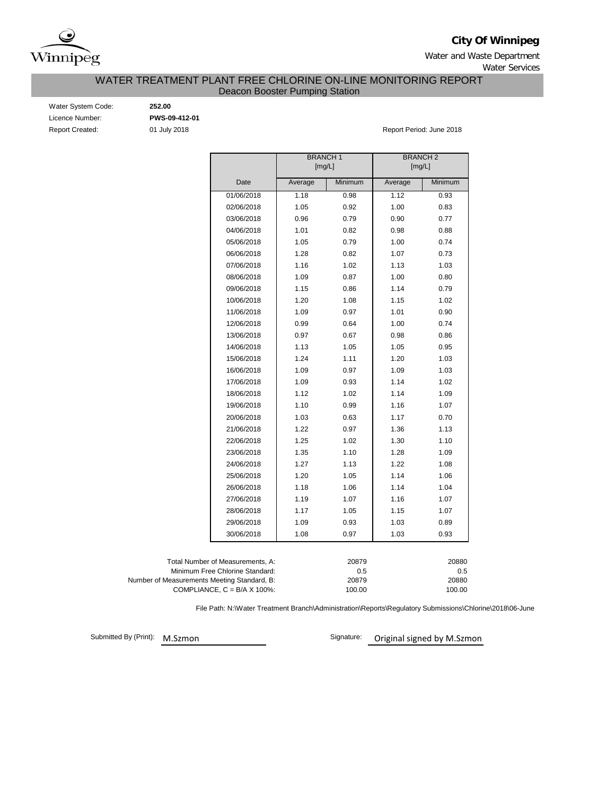

**City Of Winnipeg**

Water and Waste Department Water Services

## Deacon Booster Pumping Station WATER TREATMENT PLANT FREE CHLORINE ON-LINE MONITORING REPORT

| Water System Code:     |
|------------------------|
| Licence Number:        |
| <b>Report Created:</b> |

Water System Code: **252.00** Licence Number: **PWS-09-412-01**

01 July 2018 **Report Period: June 2018** 

|                                             |                                      | <b>BRANCH1</b><br>[mg/L] |                  | <b>BRANCH 2</b><br>[mg/L] |              |  |  |  |  |  |  |
|---------------------------------------------|--------------------------------------|--------------------------|------------------|---------------------------|--------------|--|--|--|--|--|--|
|                                             | Date                                 | Average                  | Minimum          | Average                   | Minimum      |  |  |  |  |  |  |
|                                             | 01/06/2018                           | 1.18                     | 0.98             | 1.12                      | 0.93         |  |  |  |  |  |  |
|                                             | 02/06/2018                           | 1.05                     | 0.92             | 1.00                      | 0.83         |  |  |  |  |  |  |
|                                             | 03/06/2018                           | 0.96                     | 0.79             | 0.90                      | 0.77         |  |  |  |  |  |  |
|                                             | 04/06/2018                           | 1.01                     | 0.82             | 0.98                      | 0.88         |  |  |  |  |  |  |
|                                             | 05/06/2018                           | 1.05                     | 0.79             | 1.00                      | 0.74         |  |  |  |  |  |  |
|                                             | 06/06/2018                           | 1.28                     | 0.82             | 1.07                      | 0.73         |  |  |  |  |  |  |
|                                             | 07/06/2018                           | 1.16                     | 1.02             | 1.13                      | 1.03         |  |  |  |  |  |  |
|                                             | 08/06/2018                           | 1.09                     | 0.87             | 1.00                      | 0.80         |  |  |  |  |  |  |
|                                             | 09/06/2018                           | 1.15                     | 0.86             | 1.14                      | 0.79         |  |  |  |  |  |  |
|                                             | 10/06/2018                           | 1.20                     | 1.08             | 1.15                      | 1.02         |  |  |  |  |  |  |
|                                             | 11/06/2018                           | 1.09                     | 0.97             | 1.01                      | 0.90         |  |  |  |  |  |  |
|                                             | 12/06/2018                           | 0.99                     | 0.64             | 1.00                      | 0.74         |  |  |  |  |  |  |
|                                             | 13/06/2018                           | 0.97                     | 0.67             | 0.98                      | 0.86         |  |  |  |  |  |  |
|                                             | 14/06/2018                           | 1.13                     | 1.05             | 1.05                      | 0.95         |  |  |  |  |  |  |
|                                             | 15/06/2018                           | 1.24                     | 1.11             | 1.20                      | 1.03         |  |  |  |  |  |  |
|                                             | 16/06/2018                           | 1.09                     | 0.97             | 1.09                      | 1.03         |  |  |  |  |  |  |
|                                             | 17/06/2018                           | 1.09                     | 0.93             | 1.14                      | 1.02         |  |  |  |  |  |  |
|                                             | 18/06/2018                           | 1.12                     | 1.02             | 1.14                      | 1.09         |  |  |  |  |  |  |
|                                             | 19/06/2018                           | 1.10                     | 0.99             | 1.16                      | 1.07         |  |  |  |  |  |  |
|                                             | 20/06/2018                           | 1.03                     | 0.63             | 1.17                      | 0.70         |  |  |  |  |  |  |
|                                             | 21/06/2018                           | 1.22                     | 0.97             | 1.36                      | 1.13         |  |  |  |  |  |  |
|                                             | 22/06/2018                           | 1.25                     | 1.02             | 1.30                      | 1.10         |  |  |  |  |  |  |
|                                             | 23/06/2018                           | 1.35                     | 1.10             | 1.28                      | 1.09         |  |  |  |  |  |  |
|                                             | 24/06/2018                           | 1.27                     | 1.13             | 1.22                      | 1.08         |  |  |  |  |  |  |
|                                             | 25/06/2018                           | 1.20                     | 1.05             | 1.14                      | 1.06         |  |  |  |  |  |  |
|                                             | 26/06/2018                           | 1.18                     | 1.06             | 1.14                      | 1.04         |  |  |  |  |  |  |
|                                             | 27/06/2018                           | 1.19                     | 1.07             | 1.16                      | 1.07         |  |  |  |  |  |  |
|                                             | 28/06/2018                           | 1.17                     | 1.05             | 1.15                      | 1.07         |  |  |  |  |  |  |
|                                             | 29/06/2018                           | 1.09                     | 0.93             | 1.03                      | 0.89         |  |  |  |  |  |  |
|                                             | 30/06/2018                           | 1.08                     | 0.97             | 1.03                      | 0.93         |  |  |  |  |  |  |
|                                             |                                      |                          |                  |                           |              |  |  |  |  |  |  |
|                                             | Total Number of Measurements, A:     |                          | 20879            |                           | 20880        |  |  |  |  |  |  |
| Number of Measurements Meeting Standard, B: | Minimum Free Chlorine Standard:      |                          | 0.5<br>20879     |                           | 0.5<br>20880 |  |  |  |  |  |  |
|                                             | COMPLIANCE, $C = B/A \times 100\%$ : |                          | 100.00<br>100.00 |                           |              |  |  |  |  |  |  |

File Path: N:\Water Treatment Branch\Administration\Reports\Regulatory Submissions\Chlorine\2018\06-June

Submitted By (Print): M.Szmon

Signature: Original signed by M.Szmon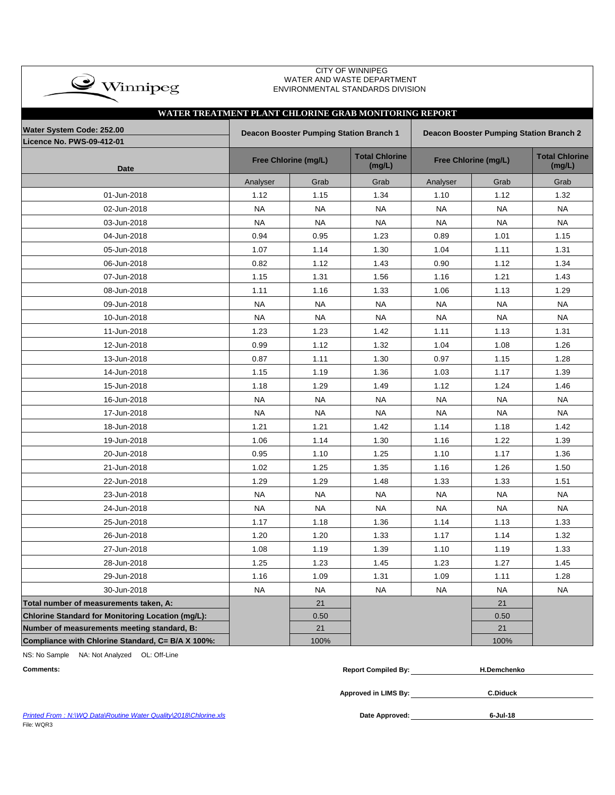| $\bullet$ Winnipeg                                            |                                                                                           |                             | WATER AND WASTE DEPARTMENT<br>ENVIRONMENTAL STANDARDS DIVISION |                      |                                 |           |  |  |  |  |  |
|---------------------------------------------------------------|-------------------------------------------------------------------------------------------|-----------------------------|----------------------------------------------------------------|----------------------|---------------------------------|-----------|--|--|--|--|--|
| WATER TREATMENT PLANT CHLORINE GRAB MONITORING REPORT         |                                                                                           |                             |                                                                |                      |                                 |           |  |  |  |  |  |
|                                                               |                                                                                           |                             |                                                                |                      |                                 |           |  |  |  |  |  |
| Water System Code: 252.00<br><b>Licence No. PWS-09-412-01</b> | Deacon Booster Pumping Station Branch 1<br><b>Deacon Booster Pumping Station Branch 2</b> |                             |                                                                |                      |                                 |           |  |  |  |  |  |
| <b>Date</b>                                                   |                                                                                           | <b>Free Chlorine (mg/L)</b> | <b>Total Chlorine</b><br>(mg/L)                                | Free Chlorine (mg/L) | <b>Total Chlorine</b><br>(mg/L) |           |  |  |  |  |  |
|                                                               | Analyser                                                                                  | Grab                        | Grab                                                           | Analyser             | Grab                            | Grab      |  |  |  |  |  |
| 01-Jun-2018                                                   | 1.12                                                                                      | 1.15                        | 1.34                                                           | 1.10                 | 1.12                            | 1.32      |  |  |  |  |  |
| 02-Jun-2018                                                   | <b>NA</b>                                                                                 | <b>NA</b>                   | NA                                                             | NA                   | NA                              | <b>NA</b> |  |  |  |  |  |
| 03-Jun-2018                                                   | <b>NA</b>                                                                                 | <b>NA</b>                   | NA.                                                            | <b>NA</b>            | NA.                             | <b>NA</b> |  |  |  |  |  |
| 04-Jun-2018                                                   | 0.94                                                                                      | 0.95                        | 1.23                                                           | 0.89                 | 1.01                            | 1.15      |  |  |  |  |  |
| 05-Jun-2018                                                   | 1.07                                                                                      | 1.14                        | 1.30                                                           | 1.04                 | 1.11                            | 1.31      |  |  |  |  |  |
| 06-Jun-2018                                                   | 0.82                                                                                      | 1.12                        | 1.43                                                           | 0.90                 | 1.12                            | 1.34      |  |  |  |  |  |
| 07-Jun-2018                                                   | 1.15                                                                                      | 1.31                        | 1.56                                                           | 1.16                 | 1.21                            | 1.43      |  |  |  |  |  |
| 08-Jun-2018                                                   | 1.11                                                                                      | 1.16                        | 1.33                                                           | 1.06                 | 1.13                            | 1.29      |  |  |  |  |  |
| 09-Jun-2018                                                   | <b>NA</b>                                                                                 | <b>NA</b>                   | <b>NA</b>                                                      | <b>NA</b>            | <b>NA</b>                       | <b>NA</b> |  |  |  |  |  |
| 10-Jun-2018                                                   | <b>NA</b>                                                                                 | <b>NA</b>                   | <b>NA</b>                                                      | <b>NA</b>            | <b>NA</b>                       | <b>NA</b> |  |  |  |  |  |
| 11-Jun-2018                                                   | 1.23                                                                                      | 1.23                        | 1.42                                                           | 1.11                 | 1.13                            | 1.31      |  |  |  |  |  |
| 12-Jun-2018                                                   | 0.99                                                                                      | 1.12                        | 1.32                                                           | 1.04                 | 1.08                            | 1.26      |  |  |  |  |  |
| 13-Jun-2018                                                   | 0.87                                                                                      | 1.11                        | 1.30                                                           | 0.97                 | 1.15                            | 1.28      |  |  |  |  |  |
| 14-Jun-2018                                                   | 1.15                                                                                      | 1.19                        | 1.36                                                           | 1.03                 | 1.17                            | 1.39      |  |  |  |  |  |
| 15-Jun-2018                                                   | 1.18                                                                                      | 1.29                        | 1.49                                                           | 1.12                 | 1.24                            | 1.46      |  |  |  |  |  |
| 16-Jun-2018                                                   | <b>NA</b>                                                                                 | <b>NA</b>                   | <b>NA</b>                                                      | <b>NA</b>            | <b>NA</b>                       | <b>NA</b> |  |  |  |  |  |
| 17-Jun-2018                                                   | <b>NA</b>                                                                                 | <b>NA</b>                   | <b>NA</b>                                                      | <b>NA</b>            | <b>NA</b>                       | <b>NA</b> |  |  |  |  |  |
| 18-Jun-2018                                                   | 1.21                                                                                      | 1.21                        | 1.42                                                           | 1.14                 | 1.18                            | 1.42      |  |  |  |  |  |
| 19-Jun-2018                                                   | 1.06                                                                                      | 1.14                        | 1.30                                                           | 1.16                 | 1.22                            | 1.39      |  |  |  |  |  |
| 20-Jun-2018                                                   | 0.95                                                                                      | 1.10                        | 1.25                                                           | 1.10                 | 1.17                            | 1.36      |  |  |  |  |  |
| 21-Jun-2018                                                   | 1.02                                                                                      | 1.25                        | 1.35                                                           | 1.16                 | 1.26                            | 1.50      |  |  |  |  |  |
| 22-Jun-2018                                                   | 1.29                                                                                      | 1.29                        | 1.48                                                           | 1.33                 | 1.33                            | 1.51      |  |  |  |  |  |
| 23-Jun-2018                                                   | <b>NA</b>                                                                                 | <b>NA</b>                   | <b>NA</b>                                                      | <b>NA</b>            | <b>NA</b>                       | <b>NA</b> |  |  |  |  |  |
| 24-Jun-2018                                                   | <b>NA</b>                                                                                 | <b>NA</b>                   | <b>NA</b>                                                      | <b>NA</b>            | NA.                             | <b>NA</b> |  |  |  |  |  |
| 25-Jun-2018                                                   | 1.17                                                                                      | 1.18                        | 1.36                                                           | 1.14                 | 1.13                            | 1.33      |  |  |  |  |  |
| 26-Jun-2018                                                   | 1.20                                                                                      | 1.20                        | 1.33                                                           | 1.17                 | 1.14                            | 1.32      |  |  |  |  |  |
| 27-Jun-2018                                                   | 1.08                                                                                      | 1.19                        | 1.39                                                           | 1.10                 | 1.19                            | 1.33      |  |  |  |  |  |
| 28-Jun-2018                                                   | 1.25                                                                                      | 1.23                        | 1.45                                                           | 1.23                 | 1.27                            | 1.45      |  |  |  |  |  |
| 29-Jun-2018                                                   | 1.16                                                                                      | 1.09                        | 1.31                                                           | 1.09                 | 1.11                            | 1.28      |  |  |  |  |  |
| 30-Jun-2018                                                   | <b>NA</b>                                                                                 | <b>NA</b>                   | <b>NA</b>                                                      | <b>NA</b>            | <b>NA</b>                       | <b>NA</b> |  |  |  |  |  |
| Total number of measurements taken, A:                        |                                                                                           | 21                          |                                                                |                      | 21                              |           |  |  |  |  |  |
| Chlorine Standard for Monitoring Location (mg/L):             |                                                                                           | 0.50                        |                                                                |                      | 0.50                            |           |  |  |  |  |  |
| Number of measurements meeting standard, B:                   |                                                                                           | 21                          |                                                                |                      | 21                              |           |  |  |  |  |  |
| Compliance with Chlorine Standard, C= B/A X 100%:             |                                                                                           | 100%                        |                                                                |                      | 100%                            |           |  |  |  |  |  |

CITY OF WINNIPEG

NS: No Sample NA: Not Analyzed OL: Off-Line

 $\rightarrow$ 

| <b>Comments:</b> | <b>Report Compiled Bv:</b> | <b>H.Demchenko</b> |
|------------------|----------------------------|--------------------|
|                  |                            |                    |

**Approved in LIMS By: C.Diduck**

Printed From : N:\WQ Data\Routine Water Quality\2018\Chlorine.xls **Date Approved:** Date Approved: File: WQR3

**6-Jul-18**